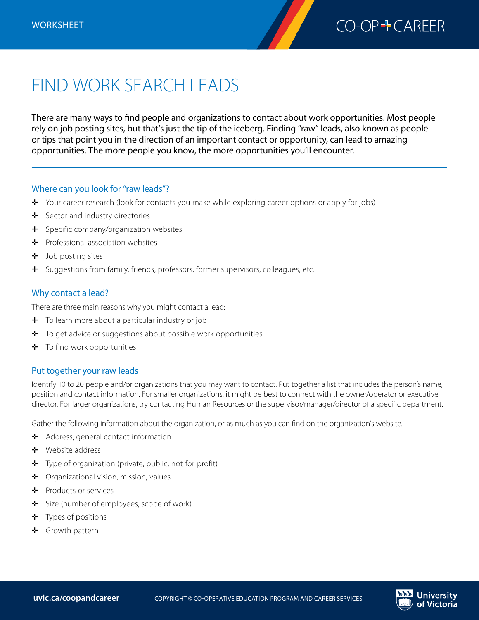

## FIND WORK SEARCH LEADS

There are many ways to find people and organizations to contact about work opportunities. Most people rely on job posting sites, but that's just the tip of the iceberg. Finding "raw" leads, also known as people or tips that point you in the direction of an important contact or opportunity, can lead to amazing opportunities. The more people you know, the more opportunities you'll encounter.

## Where can you look for "raw leads"?

- ✛ Your career research (look for contacts you make while exploring career options or apply for jobs)
- $\div$  Sector and industry directories
- ✛ Specific company/organization websites
- $\div$  Professional association websites
- $\pm$  Job posting sites
- ✛ Suggestions from family, friends, professors, former supervisors, colleagues, etc.

## Why contact a lead?

There are three main reasons why you might contact a lead:

- $\div$  To learn more about a particular industry or job
- $\div$  To get advice or suggestions about possible work opportunities
- $\div$  To find work opportunities

## Put together your raw leads

Identify 10 to 20 people and/or organizations that you may want to contact. Put together a list that includes the person's name, position and contact information. For smaller organizations, it might be best to connect with the owner/operator or executive director. For larger organizations, try contacting Human Resources or the supervisor/manager/director of a specific department.

Gather the following information about the organization, or as much as you can find on the organization's website.

- ✛ Address, general contact information
- ✛ Website address
- ✛ Type of organization (private, public, not-for-profit)
- ✛ Organizational vision, mission, values
- ✛ Products or services
- ✛ Size (number of employees, scope of work)
- $\div$  Types of positions
- ✛ Growth pattern